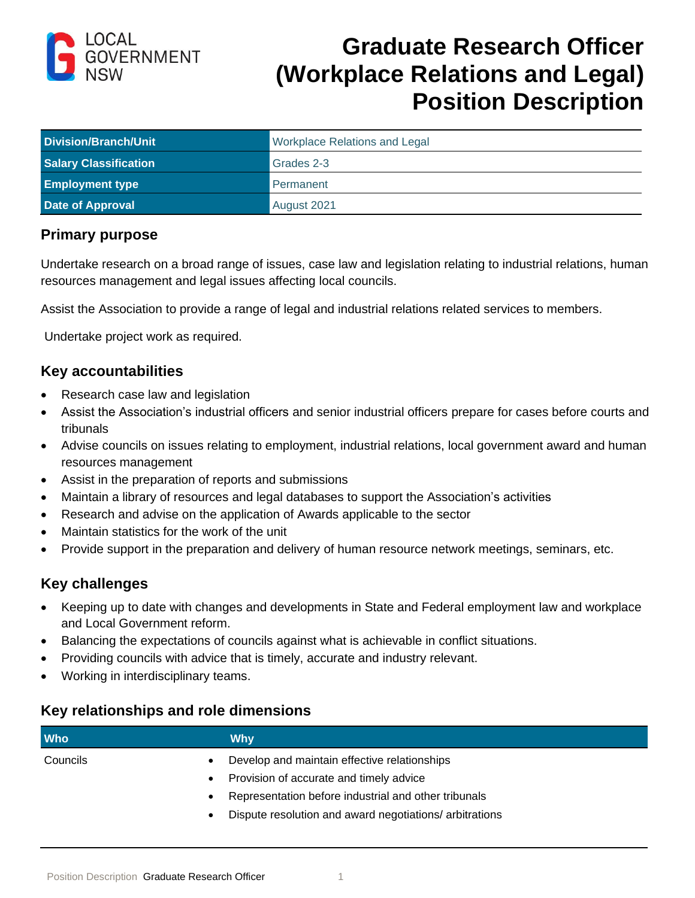

# **Graduate Research Officer (Workplace Relations and Legal) Position Description**

| <b>Division/Branch/Unit</b>  | <b>Workplace Relations and Legal</b> |
|------------------------------|--------------------------------------|
| <b>Salary Classification</b> | Grades 2-3                           |
| <b>Employment type</b>       | Permanent                            |
| <b>Date of Approval</b>      | August 2021                          |

## **Primary purpose**

Undertake research on a broad range of issues, case law and legislation relating to industrial relations, human resources management and legal issues affecting local councils.

Assist the Association to provide a range of legal and industrial relations related services to members.

Undertake project work as required.

#### **Key accountabilities**

- Research case law and legislation
- Assist the Association's industrial officers and senior industrial officers prepare for cases before courts and tribunals
- Advise councils on issues relating to employment, industrial relations, local government award and human resources management
- Assist in the preparation of reports and submissions
- Maintain a library of resources and legal databases to support the Association's activities
- Research and advise on the application of Awards applicable to the sector
- Maintain statistics for the work of the unit
- Provide support in the preparation and delivery of human resource network meetings, seminars, etc.

## **Key challenges**

- Keeping up to date with changes and developments in State and Federal employment law and workplace and Local Government reform.
- Balancing the expectations of councils against what is achievable in conflict situations.
- Providing councils with advice that is timely, accurate and industry relevant.
- Working in interdisciplinary teams.

## **Key relationships and role dimensions**

| <b>Who</b> | Why                                                     |
|------------|---------------------------------------------------------|
| Councils   | Develop and maintain effective relationships            |
| $\bullet$  | Provision of accurate and timely advice                 |
|            | Representation before industrial and other tribunals    |
|            | Dispute resolution and award negotiations/ arbitrations |